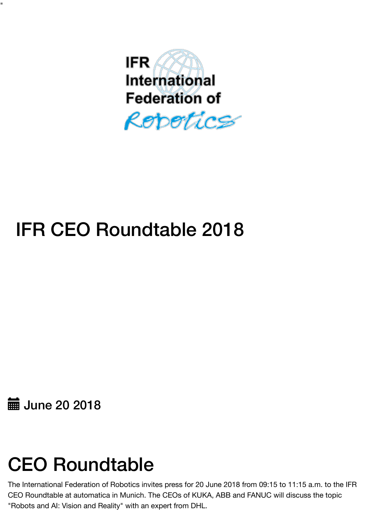

# IFR CEO Roundtable 2018

**■ June 20 2018** 

"

# CEO Roundtable

The International Federation of Robotics invites press for 20 June 2018 from 09:15 to 11:15 a.m. to the IFR CEO Roundtable at automatica in Munich. The CEOs of KUKA, ABB and FANUC will discuss the topic "Robots and AI: Vision and Reality" with an expert from DHL.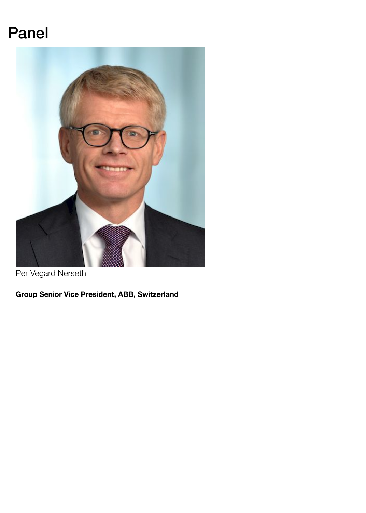### Panel



Per Vegard Nerseth

**Group Senior Vice President, ABB, Switzerland**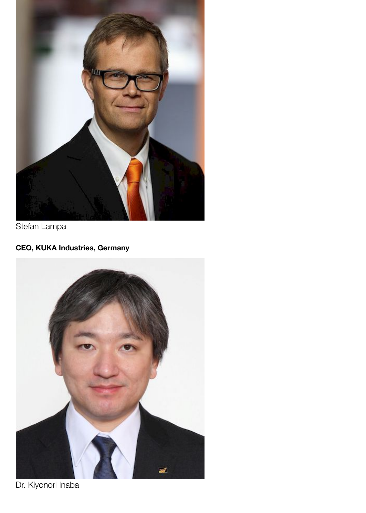

Stefan Lampa

#### **CEO, KUKA Industries, Germany**



Dr. Kiyonori Inaba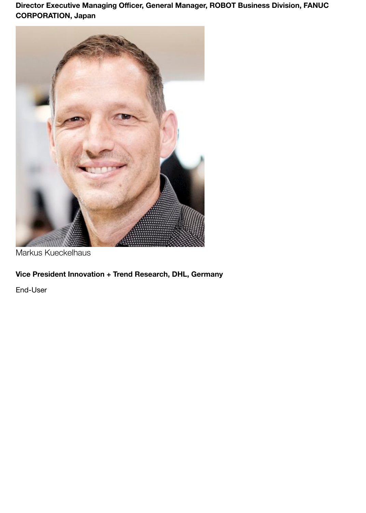**Director Executive Managing Officer, General Manager, ROBOT Business Division, FANUC CORPORATION, Japan**



Markus Kueckelhaus

#### **Vice President Innovation + Trend Research, DHL, Germany**

End-User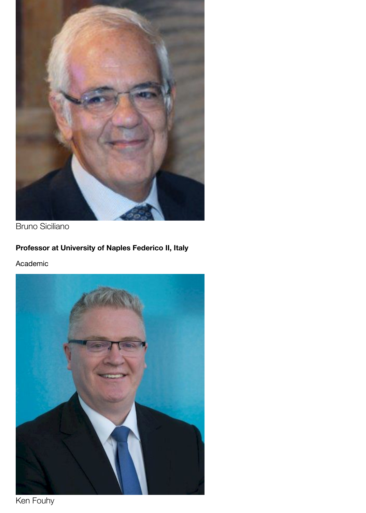

Bruno Siciliano

#### **Professor at University of Naples Federico II, Italy**

Academic



Ken Fouhy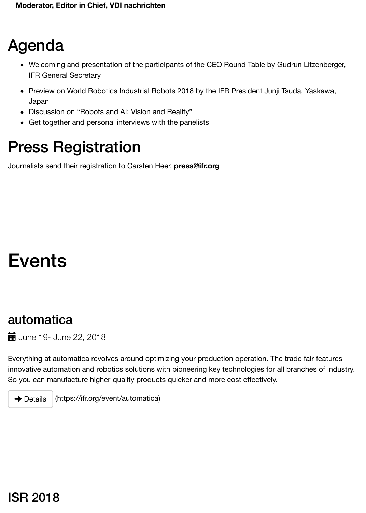- Japan
- Discussion on "Robots and AI: Vision and Reality"
- Get together and personal interviews with the panelists

### Press Registration

Journalists send their registration to Carsten Heer, **press@ifr.org**

### Events

#### automatica

**TE** June 19- June 22, 2018

Everything at automatica revolves around optimizing your production operation. The trade fair fe innovative automation and robotics solutions with pioneering key technologies for all branches of So you can manufacture higher-quality products quicker and more cost effectively.

(https://ifr.org/event/automatica)  $\rightarrow$  Details

#### [ISR 2018](https://ifr.org/event/automatica)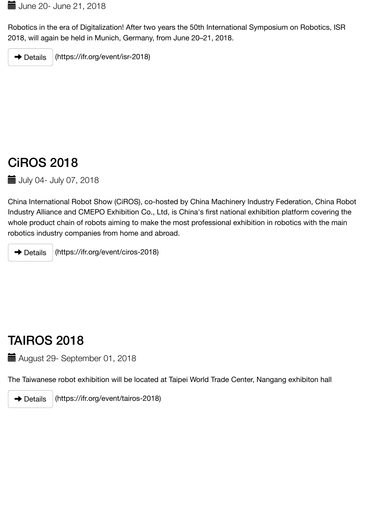### [CiROS 2018](https://ifr.org/event/isr-2018)

**1** July 04- July 07, 2018

China International Robot Show (CiROS), co-hosted by China Machinery Industry Federation, China Robot Industry Alliance and CMEPO Exhibition Co., Ltd, is China's first national exhibition platform cover whole product chain of robots aiming to make the most professional exhibition in robotics with t robotics industry companies from home and abroad.

(https://ifr.org/event/ciros-2018)  $\rightarrow$  Details

### TAIROS 2018

August 29- September 01, 2018

The Taiwanese robot exhibition will be located at Taipei World Trade Center, Nangang exhibiton

(https://ifr.org/event/tairos-2018)  $\rightarrow$  Details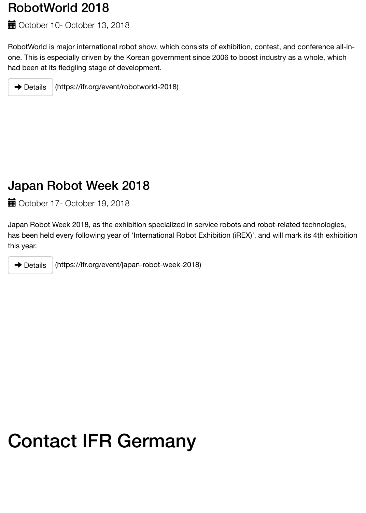#### [Japan Robot Week 2018](https://ifr.org/event/robotworld-2018)

October 17- October 19, 2018

Japan Robot Week 2018, as the exhibition specialized in service robots and robot-related techn has been held every following year of 'International Robot Exhibition (iREX)', and will mark its 4th this year.

 $\rightarrow$  Details

(https://ifr.org/event/japan-robot-week-2018)

## Contact IFR Germany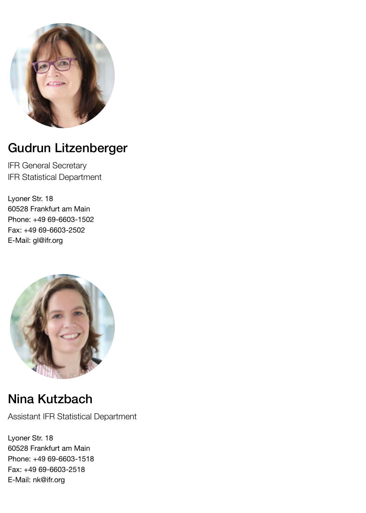

### Gudrun Litzenberger

IFR General Secretary IFR Statistical Department

Lyoner Str. 18 60528 Frankfurt am Main Phone: +49 69-6603-1502 Fax: +49 69-6603-2502 E-Mail: gl@ifr.org



### Nina Kutzbach

Assistant IFR Statistical Department

Lyoner Str. 18 60528 Frankfurt am Main Phone: +49 69-6603-1518 Fax: +49 69-6603-2518 E-Mail: nk@ifr.org